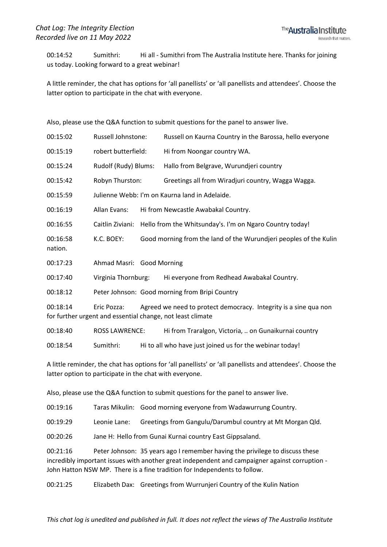00:14:52 Sumithri: Hi all - Sumithri from The Australia Institute here. Thanks for joining us today. Looking forward to a great webinar!

A little reminder, the chat has options for 'all panellists' or 'all panellists and attendees'. Choose the latter option to participate in the chat with everyone.

Also, please use the Q&A function to submit questions for the panel to answer live.

| 00:15:02 | Russell Johnstone: | Russell on Kaurna Country in the Barossa, hello everyone |
|----------|--------------------|----------------------------------------------------------|
|          |                    |                                                          |

00:15:19 robert butterfield: Hi from Noongar country WA.

00:15:24 Rudolf (Rudy) Blums: Hallo from Belgrave, Wurundjeri country

00:15:42 Robyn Thurston: Greetings all from Wiradjuri country, Wagga Wagga.

00:15:59 Julienne Webb: I'm on Kaurna land in Adelaide.

00:16:19 Allan Evans: Hi from Newcastle Awabakal Country.

00:16:55 Caitlin Ziviani: Hello from the Whitsunday's. I'm on Ngaro Country today!

00:16:58 K.C. BOEY: Good morning from the land of the Wurundjeri peoples of the Kulin nation.

00:17:23 Ahmad Masri: Good Morning

00:17:40 Virginia Thornburg: Hi everyone from Redhead Awabakal Country.

00:18:12 Peter Johnson: Good morning from Bripi Country

00:18:14 Eric Pozza: Agreed we need to protect democracy. Integrity is a sine qua non for further urgent and essential change, not least climate

00:18:40 ROSS LAWRENCE: Hi from Traralgon, Victoria, .. on Gunaikurnai country

00:18:54 Sumithri: Hi to all who have just joined us for the webinar today!

A little reminder, the chat has options for 'all panellists' or 'all panellists and attendees'. Choose the latter option to participate in the chat with everyone.

Also, please use the Q&A function to submit questions for the panel to answer live.

00:19:16 Taras Mikulin: Good morning everyone from Wadawurrung Country.

00:19:29 Leonie Lane: Greetings from Gangulu/Darumbul country at Mt Morgan Qld.

00:20:26 Jane H: Hello from Gunai Kurnai country East Gippsaland.

00:21:16 Peter Johnson: 35 years ago I remember having the privilege to discuss these incredibly important issues with another great independent and campaigner against corruption - John Hatton NSW MP. There is a fine tradition for Independents to follow.

00:21:25 Elizabeth Dax: Greetings from Wurrunjeri Country of the Kulin Nation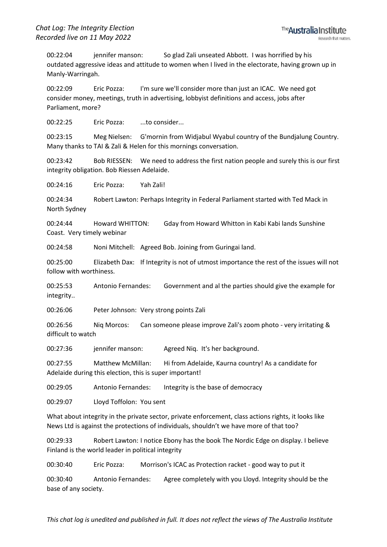00:22:04 jennifer manson: So glad Zali unseated Abbott. I was horrified by his outdated aggressive ideas and attitude to women when I lived in the electorate, having grown up in Manly-Warringah.

00:22:09 Eric Pozza: I'm sure we'll consider more than just an ICAC. We need got consider money, meetings, truth in advertising, lobbyist definitions and access, jobs after Parliament, more?

00:22:25 Eric Pozza: ...to consider...

00:23:15 Meg Nielsen: G'mornin from Widjabul Wyabul country of the Bundjalung Country. Many thanks to TAI & Zali & Helen for this mornings conversation.

00:23:42 Bob RIESSEN: We need to address the first nation people and surely this is our first integrity obligation. Bob Riessen Adelaide.

00:24:16 Eric Pozza: Yah Zali!

00:24:34 Robert Lawton: Perhaps Integrity in Federal Parliament started with Ted Mack in North Sydney

00:24:44 Howard WHITTON: Gday from Howard Whitton in Kabi Kabi lands Sunshine Coast. Very timely webinar

00:24:58 Noni Mitchell: Agreed Bob. Joining from Guringai land.

00:25:00 Elizabeth Dax: If Integrity is not of utmost importance the rest of the issues will not follow with worthiness.

00:25:53 Antonio Fernandes: Government and al the parties should give the example for integrity..

00:26:06 Peter Johnson: Very strong points Zali

00:26:56 Niq Morcos: Can someone please improve Zali's zoom photo - very irritating & difficult to watch

00:27:36 jennifer manson: Agreed Niq. It's her background.

00:27:55 Matthew McMillan: Hi from Adelaide, Kaurna country! As a candidate for Adelaide during this election, this is super important!

00:29:05 Antonio Fernandes: Integrity is the base of democracy

00:29:07 Lloyd Toffolon: You sent

What about integrity in the private sector, private enforcement, class actions rights, it looks like News Ltd is against the protections of individuals, shouldn't we have more of that too?

00:29:33 Robert Lawton: I notice Ebony has the book The Nordic Edge on display. I believe Finland is the world leader in political integrity

00:30:40 Eric Pozza: Morrison's ICAC as Protection racket - good way to put it

00:30:40 Antonio Fernandes: Agree completely with you Lloyd. Integrity should be the base of any society.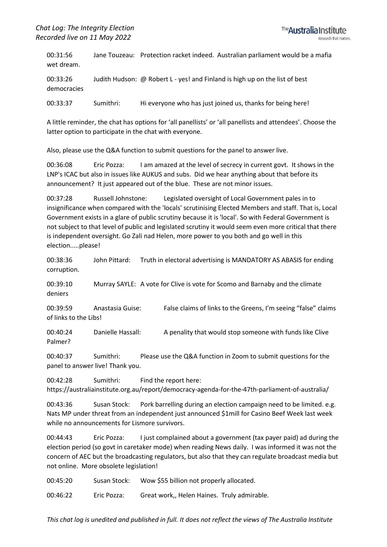00:31:56 Jane Touzeau: Protection racket indeed. Australian parliament would be a mafia wet dream.

00:33:26 Judith Hudson: @ Robert L - yes! and Finland is high up on the list of best democracies

00:33:37 Sumithri: Hi everyone who has just joined us, thanks for being here!

A little reminder, the chat has options for 'all panellists' or 'all panellists and attendees'. Choose the latter option to participate in the chat with everyone.

Also, please use the Q&A function to submit questions for the panel to answer live.

00:36:08 Eric Pozza: I am amazed at the level of secrecy in current govt. It shows in the LNP's ICAC but also in issues like AUKUS and subs. Did we hear anything about that before its announcement? It just appeared out of the blue. These are not minor issues.

00:37:28 Russell Johnstone: Legislated oversight of Local Government pales in to insignificance when compared with the 'locals' scrutinising Elected Members and staff. That is, Local Government exists in a glare of public scrutiny because it is 'local'. So with Federal Government is not subject to that level of public and legislated scrutiny it would seem even more critical that there is independent oversight. Go Zali nad Helen, more power to you both and go well in this election.....please!

00:38:36 John Pittard: Truth in electoral advertising is MANDATORY AS ABASIS for ending corruption.

00:39:10 Murray SAYLE: A vote for Clive is vote for Scomo and Barnaby and the climate deniers

00:39:59 Anastasia Guise: False claims of links to the Greens, I'm seeing "false" claims of links to the Libs!

00:40:24 Danielle Hassall: A penality that would stop someone with funds like Clive Palmer?

00:40:37 Sumithri: Please use the Q&A function in Zoom to submit questions for the panel to answer live! Thank you.

00:42:28 Sumithri: Find the report here: https://australiainstitute.org.au/report/democracy-agenda-for-the-47th-parliament-of-australia/

00:43:36 Susan Stock: Pork barrelling during an election campaign need to be limited. e.g. Nats MP under threat from an independent just announced \$1mill for Casino Beef Week last week while no announcements for Lismore survivors.

00:44:43 Eric Pozza: I just complained about a government (tax payer paid) ad during the election period (so govt in caretaker mode) when reading News daily. I was informed it was not the concern of AEC but the broadcasting regulators, but also that they can regulate broadcast media but not online. More obsolete legislation!

00:45:20 Susan Stock: Wow \$55 billion not properly allocated.

00:46:22 Eric Pozza: Great work,, Helen Haines. Truly admirable.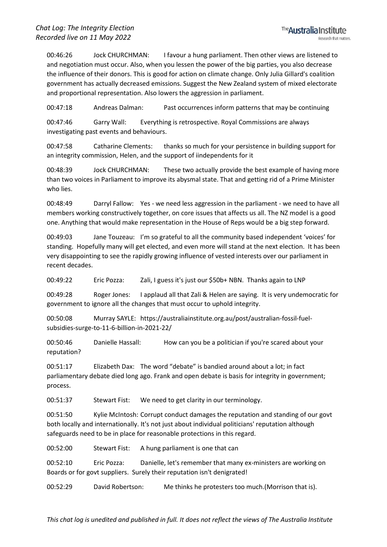00:46:26 Jock CHURCHMAN: I favour a hung parliament. Then other views are listened to and negotiation must occur. Also, when you lessen the power of the big parties, you also decrease the influence of their donors. This is good for action on climate change. Only Julia Gillard's coalition government has actually decreased emissions. Suggest the New Zealand system of mixed electorate and proportional representation. Also lowers the aggression in parliament.

00:47:18 Andreas Dalman: Past occurrences inform patterns that may be continuing

00:47:46 Garry Wall: Everything is retrospective. Royal Commissions are always investigating past events and behaviours.

00:47:58 Catharine Clements: thanks so much for your persistence in building support for an integrity commission, Helen, and the support of iindependents for it

00:48:39 Jock CHURCHMAN: These two actually provide the best example of having more than two voices in Parliament to improve its abysmal state. That and getting rid of a Prime Minister who lies.

00:48:49 Darryl Fallow: Yes - we need less aggression in the parliament - we need to have all members working constructively together, on core issues that affects us all. The NZ model is a good one. Anything that would make representation in the House of Reps would be a big step forward.

00:49:03 Jane Touzeau: I'm so grateful to all the community based independent 'voices' for standing. Hopefully many will get elected, and even more will stand at the next election. It has been very disappointing to see the rapidly growing influence of vested interests over our parliament in recent decades.

00:49:22 Eric Pozza: Zali, I guess it's just our \$50b+ NBN. Thanks again to LNP

00:49:28 Roger Jones: I applaud all that Zali & Helen are saying. It is very undemocratic for government to ignore all the changes that must occur to uphold integrity.

00:50:08 Murray SAYLE: https://australiainstitute.org.au/post/australian-fossil-fuelsubsidies-surge-to-11-6-billion-in-2021-22/

00:50:46 Danielle Hassall: How can you be a politician if you're scared about your reputation?

00:51:17 Elizabeth Dax: The word "debate" is bandied around about a lot; in fact parliamentary debate died long ago. Frank and open debate is basis for integrity in government; process.

00:51:37 Stewart Fist: We need to get clarity in our terminology.

00:51:50 Kylie McIntosh: Corrupt conduct damages the reputation and standing of our govt both locally and internationally. It's not just about individual politicians' reputation although safeguards need to be in place for reasonable protections in this regard.

00:52:00 Stewart Fist: A hung parliament is one that can

00:52:10 Eric Pozza: Danielle, let's remember that many ex-ministers are working on Boards or for govt suppliers. Surely their reputation isn't denigrated!

00:52:29 David Robertson: Me thinks he protesters too much.(Morrison that is).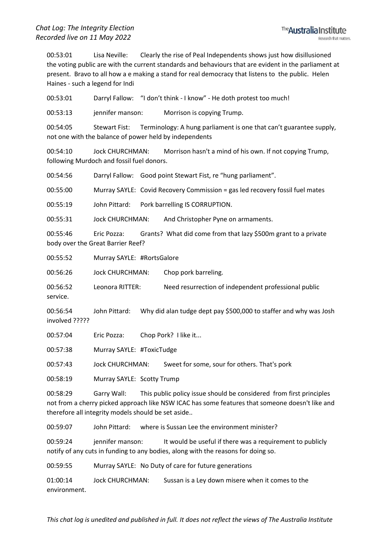00:53:01 Lisa Neville: Clearly the rise of Peal Independents shows just how disillusioned the voting public are with the current standards and behaviours that are evident in the parliament at present. Bravo to all how a e making a stand for real democracy that listens to the public. Helen Haines - such a legend for Indi

00:53:01 Darryl Fallow: "I don't think - I know" - He doth protest too much!

00:53:13 jennifer manson: Morrison is copying Trump.

00:54:05 Stewart Fist: Terminology: A hung parliament is one that can't guarantee supply, not one with the balance of power held by independents

00:54:10 Jock CHURCHMAN: Morrison hasn't a mind of his own. If not copying Trump, following Murdoch and fossil fuel donors.

00:54:56 Darryl Fallow: Good point Stewart Fist, re "hung parliament".

00:55:00 Murray SAYLE: Covid Recovery Commission = gas led recovery fossil fuel mates

00:55:19 John Pittard: Pork barrelling IS CORRUPTION.

00:55:31 Jock CHURCHMAN: And Christopher Pyne on armaments.

00:55:46 Eric Pozza: Grants? What did come from that lazy \$500m grant to a private body over the Great Barrier Reef?

00:55:52 Murray SAYLE: #RortsGalore

00:56:26 Jock CHURCHMAN: Chop pork barreling.

00:56:52 Leonora RITTER: Need resurrection of independent professional public service.

00:56:54 John Pittard: Why did alan tudge dept pay \$500,000 to staffer and why was Josh involved ?????

00:57:04 Eric Pozza: Chop Pork? I like it...

00:57:38 Murray SAYLE: #ToxicTudge

00:57:43 Jock CHURCHMAN: Sweet for some, sour for others. That's pork

00:58:19 Murray SAYLE: Scotty Trump

00:58:29 Garry Wall: This public policy issue should be considered from first principles not from a cherry picked approach like NSW ICAC has some features that someone doesn't like and therefore all integrity models should be set aside..

00:59:07 John Pittard: where is Sussan Lee the environment minister?

00:59:24 jennifer manson: It would be useful if there was a requirement to publicly notify of any cuts in funding to any bodies, along with the reasons for doing so.

00:59:55 Murray SAYLE: No Duty of care for future generations

01:00:14 Jock CHURCHMAN: Sussan is a Ley down misere when it comes to the environment.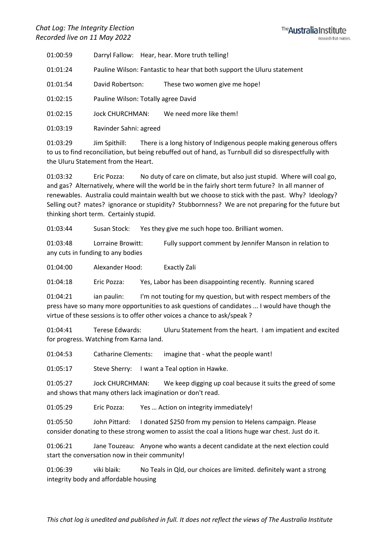01:00:59 Darryl Fallow: Hear, hear. More truth telling!

01:01:24 Pauline Wilson: Fantastic to hear that both support the Uluru statement

01:01:54 David Robertson: These two women give me hope!

01:02:15 Pauline Wilson: Totally agree David

01:02:15 Jock CHURCHMAN: We need more like them!

01:03:19 Ravinder Sahni: agreed

01:03:29 Jim Spithill: There is a long history of Indigenous people making generous offers to us to find reconciliation, but being rebuffed out of hand, as Turnbull did so disrespectfully with the Uluru Statement from the Heart.

01:03:32 Eric Pozza: No duty of care on climate, but also just stupid. Where will coal go, and gas? Alternatively, where will the world be in the fairly short term future? In all manner of renewables. Australia could maintain wealth but we choose to stick with the past. Why? Ideology? Selling out? mates? ignorance or stupidity? Stubbornness? We are not preparing for the future but thinking short term. Certainly stupid.

01:03:44 Susan Stock: Yes they give me such hope too. Brilliant women.

01:03:48 Lorraine Browitt: Fully support comment by Jennifer Manson in relation to any cuts in funding to any bodies

01:04:00 Alexander Hood: Exactly Zali

01:04:18 Eric Pozza: Yes, Labor has been disappointing recently. Running scared

01:04:21 ian paulin: I'm not touting for my question, but with respect members of the press have so many more opportunities to ask questions of candidates ... I would have though the virtue of these sessions is to offer other voices a chance to ask/speak ?

01:04:41 Terese Edwards: Uluru Statement from the heart. I am impatient and excited for progress. Watching from Karna land.

01:04:53 Catharine Clements: imagine that - what the people want!

01:05:17 Steve Sherry: I want a Teal option in Hawke.

01:05:27 Jock CHURCHMAN: We keep digging up coal because it suits the greed of some and shows that many others lack imagination or don't read.

01:05:29 Eric Pozza: Yes … Action on integrity immediately!

01:05:50 John Pittard: I donated \$250 from my pension to Helens campaign. Please consider donating to these strong women to assist the coal a litions huge war chest. Just do it.

01:06:21 Jane Touzeau: Anyone who wants a decent candidate at the next election could start the conversation now in their community!

01:06:39 viki blaik: No Teals in Qld, our choices are limited. definitely want a strong integrity body and affordable housing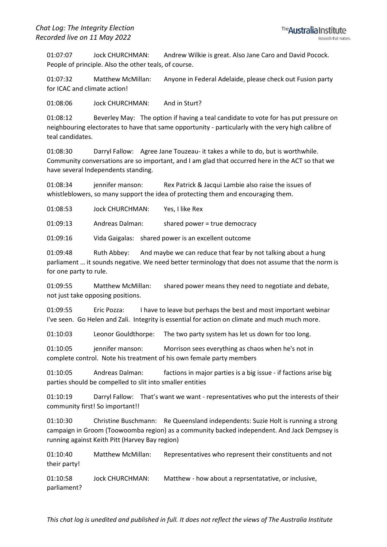01:07:07 Jock CHURCHMAN: Andrew Wilkie is great. Also Jane Caro and David Pocock. People of principle. Also the other teals, of course.

01:07:32 Matthew McMillan: Anyone in Federal Adelaide, please check out Fusion party for ICAC and climate action!

01:08:06 Jock CHURCHMAN: And in Sturt?

01:08:12 Beverley May: The option if having a teal candidate to vote for has put pressure on neighbouring electorates to have that same opportunity - particularly with the very high calibre of teal candidates.

01:08:30 Darryl Fallow: Agree Jane Touzeau- it takes a while to do, but is worthwhile. Community conversations are so important, and I am glad that occurred here in the ACT so that we have several Independents standing.

01:08:34 jennifer manson: Rex Patrick & Jacqui Lambie also raise the issues of whistleblowers, so many support the idea of protecting them and encouraging them.

01:08:53 Jock CHURCHMAN: Yes, I like Rex

01:09:13 Andreas Dalman: shared power = true democracy

01:09:16 Vida Gaigalas: shared power is an excellent outcome

01:09:48 Ruth Abbey: And maybe we can reduce that fear by not talking about a hung parliament … it sounds negative. We need better terminology that does not assume that the norm is for one party to rule.

01:09:55 Matthew McMillan: shared power means they need to negotiate and debate, not just take opposing positions.

01:09:55 Eric Pozza: I have to leave but perhaps the best and most important webinar I've seen. Go Helen and Zali. Integrity is essential for action on climate and much much more.

01:10:03 Leonor Gouldthorpe: The two party system has let us down for too long.

01:10:05 jennifer manson: Morrison sees everything as chaos when he's not in complete control. Note his treatment of his own female party members

01:10:05 Andreas Dalman: factions in major parties is a big issue - if factions arise big parties should be compelled to slit into smaller entities

01:10:19 Darryl Fallow: That's want we want - representatives who put the interests of their community first! So important!!

01:10:30 Christine Buschmann: Re Queensland independents: Suzie Holt is running a strong campaign in Groom (Toowoomba region) as a community backed independent. And Jack Dempsey is running against Keith Pitt (Harvey Bay region)

01:10:40 Matthew McMillan: Representatives who represent their constituents and not their party!

01:10:58 Jock CHURCHMAN: Matthew - how about a reprsentatative, or inclusive, parliament?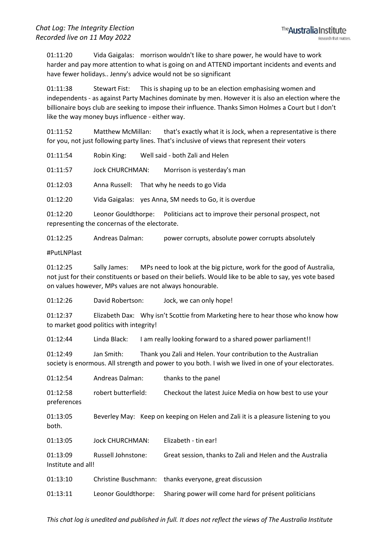01:11:20 Vida Gaigalas: morrison wouldn't like to share power, he would have to work harder and pay more attention to what is going on and ATTEND important incidents and events and have fewer holidays.. Jenny's advice would not be so significant

01:11:38 Stewart Fist: This is shaping up to be an election emphasising women and independents - as against Party Machines dominate by men. However it is also an election where the billionaire boys club are seeking to impose their influence. Thanks Simon Holmes a Court but I don't like the way money buys influence - either way.

01:11:52 Matthew McMillan: that's exactly what it is Jock, when a representative is there for you, not just following party lines. That's inclusive of views that represent their voters

01:11:54 Robin King: Well said - both Zali and Helen

01:11:57 Jock CHURCHMAN: Morrison is yesterday's man

01:12:03 Anna Russell: That why he needs to go Vida

01:12:20 Vida Gaigalas: yes Anna, SM needs to Go, it is overdue

01:12:20 Leonor Gouldthorpe: Politicians act to improve their personal prospect, not representing the concernas of the electorate.

01:12:25 Andreas Dalman: power corrupts, absolute power corrupts absolutely

#PutLNPlast

01:12:25 Sally James: MPs need to look at the big picture, work for the good of Australia, not just for their constituents or based on their beliefs. Would like to be able to say, yes vote based on values however, MPs values are not always honourable.

01:12:26 David Robertson: Jock, we can only hope!

01:12:37 Elizabeth Dax: Why isn't Scottie from Marketing here to hear those who know how to market good politics with integrity!

01:12:44 Linda Black: I am really looking forward to a shared power parliament!!

01:12:49 Jan Smith: Thank you Zali and Helen. Your contribution to the Australian society is enormous. All strength and power to you both. I wish we lived in one of your electorates.

| 01:12:54                       | Andreas Dalman:        | thanks to the panel                                                               |
|--------------------------------|------------------------|-----------------------------------------------------------------------------------|
| 01:12:58<br>preferences        | robert butterfield:    | Checkout the latest Juice Media on how best to use your                           |
| 01:13:05<br>both.              |                        | Beverley May: Keep on keeping on Helen and Zali it is a pleasure listening to you |
| 01:13:05                       | <b>Jock CHURCHMAN:</b> | Elizabeth - tin ear!                                                              |
| 01:13:09<br>Institute and all! | Russell Johnstone:     | Great session, thanks to Zali and Helen and the Australia                         |
| 01:13:10                       | Christine Buschmann:   | thanks everyone, great discussion                                                 |
| 01:13:11                       | Leonor Gouldthorpe:    | Sharing power will come hard for présent politicians                              |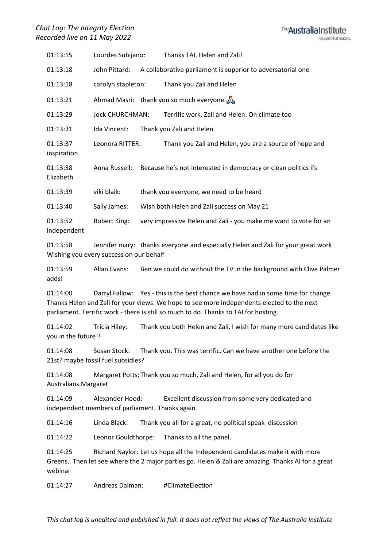| 01:13:15                 | Lourdes Subijano:      |  | Thanks TAI, Helen and Zali!                                      |
|--------------------------|------------------------|--|------------------------------------------------------------------|
| 01:13:18                 | John Pittard:          |  | A collaborative parliament is superior to adversatorial one      |
| 01:13:18                 | carolyn stapleton:     |  | Thank you Zali and Helen                                         |
| 01:13:21                 |                        |  | Ahmad Masri: thank you so much everyone $\mathbb{A}$             |
| 01:13:29                 | <b>Jock CHURCHMAN:</b> |  | Terrific work, Zali and Helen. On climate too                    |
| 01:13:31                 | Ida Vincent:           |  | Thank you Zali and Helen                                         |
| 01:13:37<br>inspiration. | Leonora RITTER:        |  | Thank you Zali and Helen, you are a source of hope and           |
| 01:13:38<br>Elizabeth    | Anna Russell:          |  | Because he's not interested in democracy or clean politics ifs   |
| 01:13:39                 | viki blaik:            |  | thank you everyone, we need to be heard                          |
| 01:13:40                 | Sally James:           |  | Wish both Helen and Zali success on May 21                       |
| 01:13:52<br>independent  | Robert King:           |  | very impressive Helen and Zali - you make me want to vote for an |

01:13:58 Jennifer mary: thanks everyone and especially Helen and Zali for your great work Wishing you every success on our behalf

01:13:59 Allan Evans: Ben we could do without the TV in the background with Clive Palmer adds!

01:14:00 Darryl Fallow: Yes - this is the best chance we have had in some time for change. Thanks Helen and Zali for your views. We hope to see more Independents elected to the next parliament. Terrific work - there is still so much to do. Thanks to TAI for hosting.

01:14:02 Tricia Hiley: Thank you both Helen and Zali. I wish for many more candidates like you in the future!!

01:14:08 Susan Stock: Thank you. This was terrific. Can we have another one before the 21st? maybe fossil fuel subsidies?

01:14:08 Margaret Potts: Thank you so much, Zali and Helen, for all you do for Australians.Margaret

01:14:09 Alexander Hood: Excellent discussion from some very dedicated and independent members of parliament. Thanks again.

01:14:16 Linda Black: Thank you all for a great, no political speak discussion

01:14:22 Leonor Gouldthorpe: Thanks to all the panel.

01:14:25 Richard Naylor: Let us hope all the Independent candidates make it with more Greens.. Then let see where the 2 major parties go. Helen & Zali are amazing. Thanks AI for a great webinar

01:14:27 Andreas Dalman: #ClimateElection